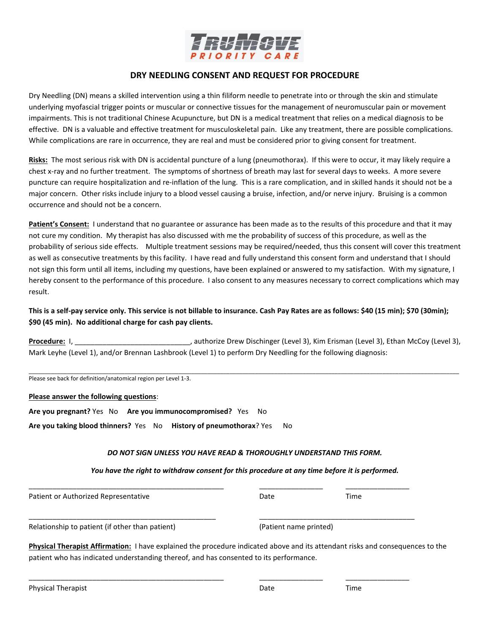

## **DRY NEEDLING CONSENT AND REQUEST FOR PROCEDURE**

Dry Needling (DN) means a skilled intervention using a thin filiform needle to penetrate into or through the skin and stimulate underlying myofascial trigger points or muscular or connective tissues for the management of neuromuscular pain or movement impairments. This is not traditional Chinese Acupuncture, but DN is a medical treatment that relies on a medical diagnosis to be effective. DN is a valuable and effective treatment for musculoskeletal pain. Like any treatment, there are possible complications. While complications are rare in occurrence, they are real and must be considered prior to giving consent for treatment.

**Risks:** The most serious risk with DN is accidental puncture of a lung (pneumothorax). If this were to occur, it may likely require a chest x-ray and no further treatment. The symptoms of shortness of breath may last for several days to weeks. A more severe puncture can require hospitalization and re-inflation of the lung. This is a rare complication, and in skilled hands it should not be a major concern. Other risks include injury to a blood vessel causing a bruise, infection, and/or nerve injury. Bruising is a common occurrence and should not be a concern.

**Patient's Consent:** I understand that no guarantee or assurance has been made as to the results of this procedure and that it may not cure my condition. My therapist has also discussed with me the probability of success of this procedure, as well as the probability of serious side effects. Multiple treatment sessions may be required/needed, thus this consent will cover this treatment as well as consecutive treatments by this facility. I have read and fully understand this consent form and understand that I should not sign this form until all items, including my questions, have been explained or answered to my satisfaction. With my signature, I hereby consent to the performance of this procedure. I also consent to any measures necessary to correct complications which may result.

This is a self-pay service only. This service is not billable to insurance. Cash Pay Rates are as follows: \$40 (15 min); \$70 (30min); **\$90 (45 min). No additional charge for cash pay clients.**

Procedure: I, \_\_\_\_\_\_\_\_\_\_\_\_\_\_\_\_\_\_\_\_\_\_\_\_\_\_\_\_\_\_, authorize Drew Dischinger (Level 3), Kim Erisman (Level 3), Ethan McCoy (Level 3), Mark Leyhe (Level 1), and/or Brennan Lashbrook (Level 1) to perform Dry Needling for the following diagnosis:

\_\_\_\_\_\_\_\_\_\_\_\_\_\_\_\_\_\_\_\_\_\_\_\_\_\_\_\_\_\_\_\_\_\_\_\_\_\_\_\_\_\_\_\_\_\_\_\_\_\_\_\_\_\_\_\_\_\_\_\_\_\_\_\_\_\_\_\_\_\_\_\_\_\_\_\_\_\_\_\_\_\_\_\_\_\_\_\_\_\_\_\_\_\_\_\_\_\_\_\_\_\_\_\_\_\_\_\_\_\_\_\_\_\_\_\_\_\_\_\_\_\_\_\_\_\_\_\_\_\_\_\_\_\_\_

Please see back for definition/anatomical region per Level 1-3.

## **Please answer the following questions**:

**Are you pregnant?** Yes No **Are you immunocompromised?** Yes No **Are you taking blood thinners?** Yes No **History of pneumothorax**? Yes No

## *DO NOT SIGN UNLESS YOU HAVE READ & THOROUGHLY UNDERSTAND THIS FORM.*

*You have the right to withdraw consent for this procedure at any time before it is performed.*

Patient or Authorized Representative **Date** Date Date Time

Relationship to patient (if other than patient) (Patient name printed)

**Physical Therapist Affirmation:** I have explained the procedure indicated above and its attendant risks and consequences to the patient who has indicated understanding thereof, and has consented to its performance.

\_\_\_\_\_\_\_\_\_\_\_\_\_\_\_\_\_\_\_\_\_\_\_\_\_\_\_\_\_\_\_\_\_\_\_\_\_\_\_\_\_\_\_\_\_\_\_ \_\_\_\_\_\_\_\_\_\_\_\_\_\_\_\_\_\_\_\_\_\_\_\_\_\_\_\_\_\_\_\_\_\_\_\_\_\_\_

\_\_\_\_\_\_\_\_\_\_\_\_\_\_\_\_\_\_\_\_\_\_\_\_\_\_\_\_\_\_\_\_\_\_\_\_\_\_\_\_\_\_\_\_\_\_\_\_\_ \_\_\_\_\_\_\_\_\_\_\_\_\_\_\_\_ \_\_\_\_\_\_\_\_\_\_\_\_\_\_\_\_

Physical Therapist **Date** Time **Therapist** Date **Construction** Date **Time** 

\_\_\_\_\_\_\_\_\_\_\_\_\_\_\_\_\_\_\_\_\_\_\_\_\_\_\_\_\_\_\_\_\_\_\_\_\_\_\_\_\_\_\_\_\_\_\_\_\_ \_\_\_\_\_\_\_\_\_\_\_\_\_\_\_\_ \_\_\_\_\_\_\_\_\_\_\_\_\_\_\_\_